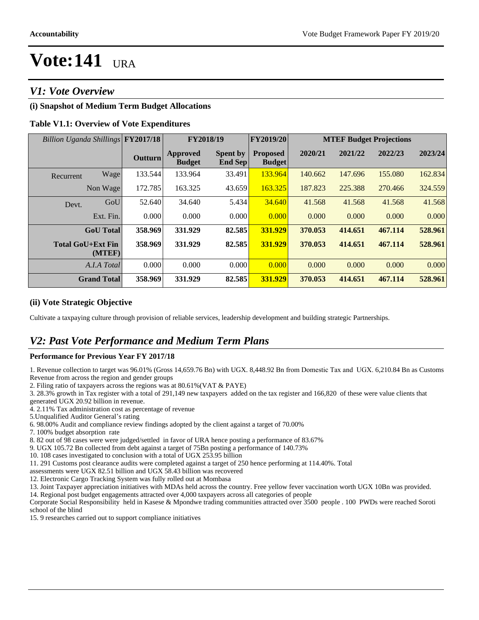# *V1: Vote Overview*

# **(i) Snapshot of Medium Term Budget Allocations**

## **Table V1.1: Overview of Vote Expenditures**

| Billion Uganda Shillings FY2017/18 |                    |                | FY2018/19                        |                                   | <b>FY2019/20</b>                 | <b>MTEF Budget Projections</b> |         |         |         |
|------------------------------------|--------------------|----------------|----------------------------------|-----------------------------------|----------------------------------|--------------------------------|---------|---------|---------|
|                                    |                    | <b>Outturn</b> | <b>Approved</b><br><b>Budget</b> | <b>Spent by</b><br><b>End Sep</b> | <b>Proposed</b><br><b>Budget</b> | 2020/21                        | 2021/22 | 2022/23 | 2023/24 |
| Recurrent                          | Wage               | 133.544        | 133.964                          | 33.491                            | 133.964                          | 140.662                        | 147.696 | 155.080 | 162.834 |
|                                    | Non Wage           | 172.785        | 163.325                          | 43.659                            | 163.325                          | 187.823                        | 225.388 | 270.466 | 324.559 |
| Devt.                              | GoU                | 52.640         | 34.640                           | 5.434                             | 34.640                           | 41.568                         | 41.568  | 41.568  | 41.568  |
|                                    | Ext. Fin.          | 0.000          | 0.000                            | 0.000                             | 0.000                            | 0.000                          | 0.000   | 0.000   | 0.000   |
|                                    | <b>GoU</b> Total   | 358.969        | 331.929                          | 82.585                            | 331.929                          | 370.053                        | 414.651 | 467.114 | 528.961 |
| <b>Total GoU+Ext Fin</b>           | (MTEF)             | 358.969        | 331.929                          | 82.585                            | 331.929                          | 370.053                        | 414.651 | 467.114 | 528.961 |
|                                    | A.I.A Total        | 0.000          | 0.000                            | 0.000                             | 0.000                            | 0.000                          | 0.000   | 0.000   | 0.000   |
|                                    | <b>Grand Total</b> | 358.969        | 331.929                          | 82.585                            | 331.929                          | 370.053                        | 414.651 | 467.114 | 528.961 |

### **(ii) Vote Strategic Objective**

Cultivate a taxpaying culture through provision of reliable services, leadership development and building strategic Partnerships.

# *V2: Past Vote Performance and Medium Term Plans*

#### **Performance for Previous Year FY 2017/18**

1. Revenue collection to target was 96.01% (Gross 14,659.76 Bn) with UGX. 8,448.92 Bn from Domestic Tax and UGX. 6,210.84 Bn as Customs Revenue from across the region and gender groups

2. Filing ratio of taxpayers across the regions was at 80.61%(VAT & PAYE)

3. 28.3% growth in Tax register with a total of 291,149 new taxpayers added on the tax register and 166,820 of these were value clients that

generated UGX 20.92 billion in revenue.

4. 2.11% Tax administration cost as percentage of revenue

5. Unqualified Auditor General's rating

6. 98.00% Audit and compliance review findings adopted by the client against a target of 70.00%

7. 100% budget absorption rate

8. 82 out of 98 cases were were judged/settled in favor of URA hence posting a performance of 83.67%

9. UGX 105.72 Bn collected from debt against a target of 75Bn posting a performance of 140.73%

10. 108 cases investigated to conclusion with a total of UGX 253.95 billion

11. 291 Customs post clearance audits were completed against a target of 250 hence performing at 114.40%. Total

assessments were UGX 82.51 billion and UGX 58.43 billion was recovered

12. Electronic Cargo Tracking System was fully rolled out at Mombasa

13. Joint Taxpayer appreciation initiatives with MDAs held across the country. Free yellow fever vaccination worth UGX 10Bn was provided.

14. Regional post budget engagements attracted over 4,000 taxpayers across all categories of people

Corporate Social Responsibility held in Kasese & Mpondwe trading communities attracted over 3500 people . 100 PWDs were reached Soroti school of the blind

15. 9 researches carried out to support compliance initiatives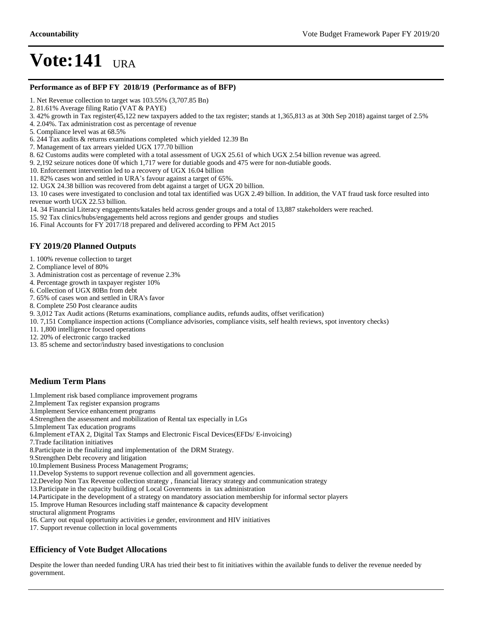#### **Performance as of BFP FY 2018/19 (Performance as of BFP)**

1. Net Revenue collection to target was 103.55% (3,707.85 Bn)

2. 81.61% Average filing Ratio (VAT & PAYE)

3. 42% growth in Tax register(45,122 new taxpayers added to the tax register; stands at 1,365,813 as at 30th Sep 2018) against target of 2.5%

- 4. 2.04%. Tax administration cost as percentage of revenue
- 5. Compliance level was at 68.5%

6. 244 Tax audits & returns examinations completed which yielded 12.39 Bn

- 7. Management of tax arrears yielded UGX 177.70 billion
- 8. 62 Customs audits were completed with a total assessment of UGX 25.61 of which UGX 2.54 billion revenue was agreed.
- 9. 2,192 seizure notices done 0f which 1,717 were for dutiable goods and 475 were for non-dutiable goods.
- 10. Enforcement intervention led to a recovery of UGX 16.04 billion
- 11. 82% cases won and settled in URA's favour against a target of 65%.
- 12. UGX 24.38 billion was recovered from debt against a target of UGX 20 billion.

13. 10 cases were investigated to conclusion and total tax identified was UGX 2.49 billion. In addition, the VAT fraud task force resulted into revenue worth UGX 22.53 billion.

14. 34 Financial Literacy engagements/katales held across gender groups and a total of 13,887 stakeholders were reached.

15. 92 Tax clinics/hubs/engagements held across regions and gender groups and studies

16. Final Accounts for FY 2017/18 prepared and delivered according to PFM Act 2015

### **FY 2019/20 Planned Outputs**

- 1. 100% revenue collection to target
- 2. Compliance level of 80%
- 3. Administration cost as percentage of revenue 2.3%
- 4. Percentage growth in taxpayer register 10%
- 6. Collection of UGX 80Bn from debt
- 7. 65% of cases won and settled in URA's favor
- 8. Complete 250 Post clearance audits
- 9. 3,012 Tax Audit actions (Returns examinations, compliance audits, refunds audits, offset verification)
- 10. 7,151 Compliance inspection actions (Compliance advisories, compliance visits, self health reviews, spot inventory checks)
- 11. 1,800 intelligence focused operations
- 12. 20% of electronic cargo tracked
- 13. 85 scheme and sector/industry based investigations to conclusion

## **Medium Term Plans**

- 1.Implement risk based compliance improvement programs
- 2.Implement Tax register expansion programs
- 3.Implement Service enhancement programs
- 4.Strengthen the assessment and mobilization of Rental tax especially in LGs
- 5.Implement Tax education programs
- 6.Implement eTAX 2, Digital Tax Stamps and Electronic Fiscal Devices(EFDs/ E-invoicing)
- 7.Trade facilitation initiatives
- 8.Participate in the finalizing and implementation of the DRM Strategy.
- 9.Strengthen Debt recovery and litigation
- 10.Implement Business Process Management Programs;
- 11.Develop Systems to support revenue collection and all government agencies.
- 12.Develop Non Tax Revenue collection strategy , financial literacy strategy and communication strategy
- 13.Participate in the capacity building of Local Governments in tax administration
- 14.Participate in the development of a strategy on mandatory association membership for informal sector players

15. Improve Human Resources including staff maintenance & capacity development

- structural alignment Programs
- 16. Carry out equal opportunity activities i.e gender, environment and HIV initiatives
- 17. Support revenue collection in local governments

## **Efficiency of Vote Budget Allocations**

Despite the lower than needed funding URA has tried their best to fit initiatives within the available funds to deliver the revenue needed by government.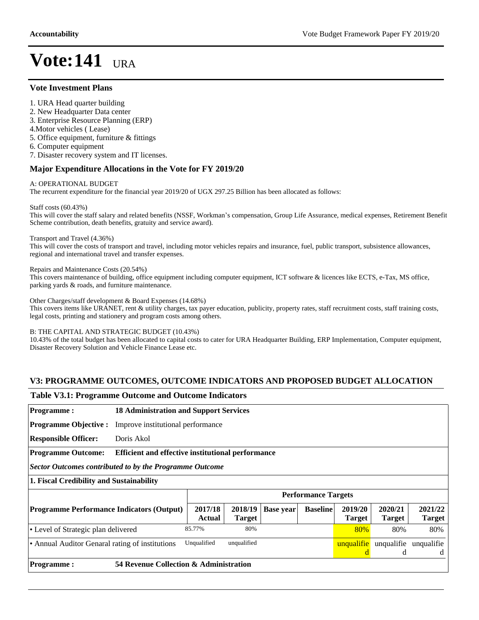#### **Vote Investment Plans**

- 1. URA Head quarter building
- 2. New Headquarter Data center
- 3. Enterprise Resource Planning (ERP)
- 4.Motor vehicles ( Lease)

5. Office equipment, furniture & fittings

- 6. Computer equipment
- 7. Disaster recovery system and IT licenses.

### **Major Expenditure Allocations in the Vote for FY 2019/20**

#### A: OPERATIONAL BUDGET

The recurrent expenditure for the financial year 2019/20 of UGX 297.25 Billion has been allocated as follows:

Staff costs (60.43%)

This will cover the staff salary and related benefits (NSSF, Workman's compensation, Group Life Assurance, medical expenses, Retirement Benefit Scheme contribution, death benefits, gratuity and service award).

#### Transport and Travel (4.36%)

This will cover the costs of transport and travel, including motor vehicles repairs and insurance, fuel, public transport, subsistence allowances, regional and international travel and transfer expenses.

Repairs and Maintenance Costs (20.54%)

This covers maintenance of building, office equipment including computer equipment, ICT software & licences like ECTS, e-Tax, MS office, parking yards & roads, and furniture maintenance.

Other Charges/staff development & Board Expenses (14.68%)

This covers items like URANET, rent & utility charges, tax payer education, publicity, property rates, staff recruitment costs, staff training costs, legal costs, printing and stationery and program costs among others.

#### B: THE CAPITAL AND STRATEGIC BUDGET (10.43%)

10.43% of the total budget has been allocated to capital costs to cater for URA Headquarter Building, ERP Implementation, Computer equipment, Disaster Recovery Solution and Vehicle Finance Lease etc.

## **V3: PROGRAMME OUTCOMES, OUTCOME INDICATORS AND PROPOSED BUDGET ALLOCATION**

#### **Table V3.1: Programme Outcome and Outcome Indicators**

| <b>Programme:</b>                                       |                                                          | <b>18 Administration and Support Services</b> |               |                  |                            |                 |               |                            |  |
|---------------------------------------------------------|----------------------------------------------------------|-----------------------------------------------|---------------|------------------|----------------------------|-----------------|---------------|----------------------------|--|
| <b>Programme Objective:</b>                             | Improve institutional performance                        |                                               |               |                  |                            |                 |               |                            |  |
| <b>Responsible Officer:</b>                             | Doris Akol                                               |                                               |               |                  |                            |                 |               |                            |  |
| <b>Programme Outcome:</b>                               | <b>Efficient and effective institutional performance</b> |                                               |               |                  |                            |                 |               |                            |  |
| Sector Outcomes contributed to by the Programme Outcome |                                                          |                                               |               |                  |                            |                 |               |                            |  |
| 1. Fiscal Credibility and Sustainability                |                                                          |                                               |               |                  |                            |                 |               |                            |  |
|                                                         |                                                          |                                               |               |                  | <b>Performance Targets</b> |                 |               |                            |  |
| <b>Programme Performance Indicators (Output)</b>        |                                                          | 2017/18                                       | 2018/19       | <b>Base year</b> | <b>Baseline</b>            | 2019/20         | 2020/21       | 2021/22                    |  |
|                                                         |                                                          | <b>Actual</b>                                 | <b>Target</b> |                  |                            | <b>Target</b>   | <b>Target</b> | <b>Target</b>              |  |
| • Level of Strategic plan delivered                     |                                                          | 85.77%                                        | 80%           |                  |                            | 80%             | 80%           | 80%                        |  |
| • Annual Auditor Genaral rating of institutions         |                                                          | Unqualified                                   | unqualified   |                  |                            | unqualifie<br>d | d             | unqualifie unqualifie<br>d |  |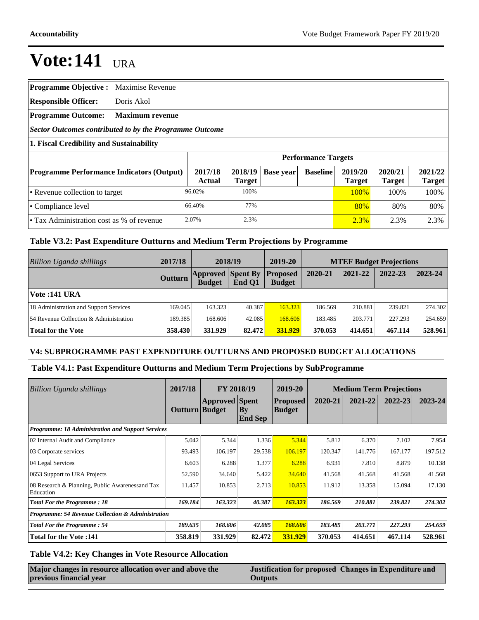|  |  |  | Programme Objective : Maximise Revenue |
|--|--|--|----------------------------------------|
|--|--|--|----------------------------------------|

**Responsible Officer:** Doris Akol

#### **Programme Outcome: Maximum revenue**

*Sector Outcomes contributed to by the Programme Outcome*

### **1. Fiscal Credibility and Sustainability**

|                                                  | <b>Performance Targets</b> |                          |           |                 |                          |                          |                   |
|--------------------------------------------------|----------------------------|--------------------------|-----------|-----------------|--------------------------|--------------------------|-------------------|
| <b>Programme Performance Indicators (Output)</b> | 2017/18<br>Actual          | 2018/19<br><b>Target</b> | Base year | <b>Baseline</b> | 2019/20<br><b>Target</b> | 2020/21<br><b>Target</b> | 2021/22<br>Target |
| • Revenue collection to target                   | 96.02%                     | 100%                     |           |                 | 100%                     | 100%                     | 100\%             |
| $\cdot$ Compliance level                         | 66.40%                     | 77%                      |           |                 | 80%                      | 80%                      | 80%               |
| • Tax Administration cost as % of revenue        | 2.07%                      | 2.3%                     |           |                 | 2.3%                     | 2.3%                     | 2.3%              |

## **Table V3.2: Past Expenditure Outturns and Medium Term Projections by Programme**

| Billion Uganda shillings               | 2017/18        | 2018/19                                   |        | 2019-20                          | <b>MTEF Budget Projections</b> |         |         |         |
|----------------------------------------|----------------|-------------------------------------------|--------|----------------------------------|--------------------------------|---------|---------|---------|
|                                        | <b>Outturn</b> | <b>Approved</b> Spent By<br><b>Budget</b> | End Q1 | <b>Proposed</b><br><b>Budget</b> | 2020-21                        | 2021-22 | 2022-23 | 2023-24 |
| Vote : 141 URA                         |                |                                           |        |                                  |                                |         |         |         |
| 18 Administration and Support Services | 169.045        | 163.323                                   | 40.387 | 163.323                          | 186.569                        | 210.881 | 239.821 | 274.302 |
| 54 Revenue Collection & Administration | 189.385        | 168.606                                   | 42.085 | 168.606                          | 183.485                        | 203.771 | 227.293 | 254.659 |
| Total for the Vote                     | 358.430        | 331.929                                   | 82.472 | 331.929                          | 370.053                        | 414.651 | 467.114 | 528.961 |

#### **V4: SUBPROGRAMME PAST EXPENDITURE OUTTURNS AND PROPOSED BUDGET ALLOCATIONS**

## **Table V4.1: Past Expenditure Outturns and Medium Term Projections by SubProgramme**

| Billion Uganda shillings                                     | 2017/18<br>FY 2018/19 |                       | 2019-20                        | <b>Medium Term Projections</b>   |         |         |         |         |
|--------------------------------------------------------------|-----------------------|-----------------------|--------------------------------|----------------------------------|---------|---------|---------|---------|
|                                                              | Outturn Budget        | <b>Approved</b> Spent | $ {\bf B}$ y<br><b>End Sep</b> | <b>Proposed</b><br><b>Budget</b> | 2020-21 | 2021-22 | 2022-23 | 2023-24 |
| Programme: 18 Administration and Support Services            |                       |                       |                                |                                  |         |         |         |         |
| 02 Internal Audit and Compliance                             | 5.042                 | 5.344                 | 1.336                          | 5.344                            | 5.812   | 6.370   | 7.102   | 7.954   |
| 03 Corporate services                                        | 93.493                | 106.197               | 29.538                         | 106.197                          | 120.347 | 141.776 | 167.177 | 197.512 |
| 04 Legal Services                                            | 6.603                 | 6.288                 | 1.377                          | 6.288                            | 6.931   | 7.810   | 8.879   | 10.138  |
| 0653 Support to URA Projects                                 | 52.590                | 34.640                | 5.422                          | 34.640                           | 41.568  | 41.568  | 41.568  | 41.568  |
| 08 Research & Planning, Public Awarenessand Tax<br>Education | 11.457                | 10.853                | 2.713                          | 10.853                           | 11.912  | 13.358  | 15.094  | 17.130  |
| <b>Total For the Programme: 18</b>                           | 169.184               | 163.323               | 40.387                         | 163.323                          | 186.569 | 210.881 | 239.821 | 274.302 |
| Programme: 54 Revenue Collection & Administration            |                       |                       |                                |                                  |         |         |         |         |
| <b>Total For the Programme: 54</b>                           | 189.635               | 168.606               | 42.085                         | 168.606                          | 183.485 | 203.771 | 227.293 | 254.659 |
| <b>Total for the Vote:141</b>                                | 358.819               | 331.929               | 82.472                         | 331.929                          | 370.053 | 414.651 | 467.114 | 528.961 |

## **Table V4.2: Key Changes in Vote Resource Allocation**

| Major changes in resource allocation over and above the |  |
|---------------------------------------------------------|--|
| previous financial year                                 |  |

Justification for proposed Changes in Expenditure and **Outputs**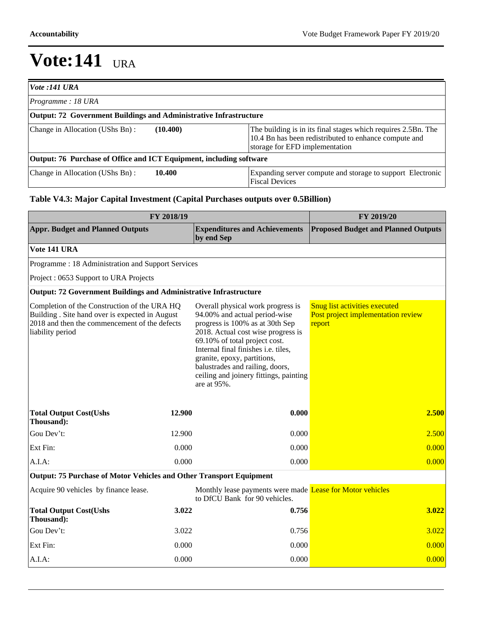| <i>Vote :141 URA</i>                                                |          |                                                                                                                                                          |
|---------------------------------------------------------------------|----------|----------------------------------------------------------------------------------------------------------------------------------------------------------|
| Programme: 18 URA                                                   |          |                                                                                                                                                          |
| Output: 72 Government Buildings and Administrative Infrastructure   |          |                                                                                                                                                          |
| Change in Allocation (UShs Bn):                                     | (10.400) | The building is in its final stages which requires 2.5Bn. The<br>10.4 Bn has been redistributed to enhance compute and<br>storage for EFD implementation |
| Output: 76 Purchase of Office and ICT Equipment, including software |          |                                                                                                                                                          |
| Change in Allocation (UShs Bn):                                     | 10.400   | Expanding server compute and storage to support Electronic<br><b>Fiscal Devices</b>                                                                      |

# **Table V4.3: Major Capital Investment (Capital Purchases outputs over 0.5Billion)**

| FY 2018/19                                                                                                                                                           | FY 2019/20 |                                                                                                                                                                                                                                                                                                                                                |                                                                               |  |
|----------------------------------------------------------------------------------------------------------------------------------------------------------------------|------------|------------------------------------------------------------------------------------------------------------------------------------------------------------------------------------------------------------------------------------------------------------------------------------------------------------------------------------------------|-------------------------------------------------------------------------------|--|
| <b>Appr. Budget and Planned Outputs</b>                                                                                                                              |            | <b>Expenditures and Achievements</b><br>by end Sep                                                                                                                                                                                                                                                                                             | <b>Proposed Budget and Planned Outputs</b>                                    |  |
| Vote 141 URA                                                                                                                                                         |            |                                                                                                                                                                                                                                                                                                                                                |                                                                               |  |
| Programme: 18 Administration and Support Services                                                                                                                    |            |                                                                                                                                                                                                                                                                                                                                                |                                                                               |  |
| Project: 0653 Support to URA Projects                                                                                                                                |            |                                                                                                                                                                                                                                                                                                                                                |                                                                               |  |
| <b>Output: 72 Government Buildings and Administrative Infrastructure</b>                                                                                             |            |                                                                                                                                                                                                                                                                                                                                                |                                                                               |  |
| Completion of the Construction of the URA HQ<br>Building . Site hand over is expected in August<br>2018 and then the commencement of the defects<br>liability period |            | Overall physical work progress is<br>94.00% and actual period-wise<br>progress is 100% as at 30th Sep<br>2018. Actual cost wise progress is<br>69.10% of total project cost.<br>Internal final finishes i.e. tiles,<br>granite, epoxy, partitions,<br>balustrades and railing, doors,<br>ceiling and joinery fittings, painting<br>are at 95%. | Snug list activities executed<br>Post project implementation review<br>report |  |
| <b>Total Output Cost(Ushs</b><br>Thousand):                                                                                                                          | 12.900     | 0.000                                                                                                                                                                                                                                                                                                                                          | 2.500                                                                         |  |
| Gou Dev't:                                                                                                                                                           | 12.900     | 0.000                                                                                                                                                                                                                                                                                                                                          | 2.500                                                                         |  |
| Ext Fin:                                                                                                                                                             | 0.000      | 0.000                                                                                                                                                                                                                                                                                                                                          | 0.000                                                                         |  |
| A.I.A:                                                                                                                                                               | 0.000      | 0.000                                                                                                                                                                                                                                                                                                                                          | 0.000                                                                         |  |
| Output: 75 Purchase of Motor Vehicles and Other Transport Equipment                                                                                                  |            |                                                                                                                                                                                                                                                                                                                                                |                                                                               |  |
| Acquire 90 vehicles by finance lease.                                                                                                                                |            | Monthly lease payments were made Lease for Motor vehicles<br>to DfCU Bank for 90 vehicles.                                                                                                                                                                                                                                                     |                                                                               |  |
| <b>Total Output Cost(Ushs</b><br>Thousand):                                                                                                                          | 3.022      | 0.756                                                                                                                                                                                                                                                                                                                                          | 3.022                                                                         |  |
| Gou Dev't:                                                                                                                                                           | 3.022      | 0.756                                                                                                                                                                                                                                                                                                                                          | 3.022                                                                         |  |
| Ext Fin:                                                                                                                                                             | 0.000      | 0.000                                                                                                                                                                                                                                                                                                                                          | 0.000                                                                         |  |
| A.I.A:                                                                                                                                                               | 0.000      | 0.000                                                                                                                                                                                                                                                                                                                                          | 0.000                                                                         |  |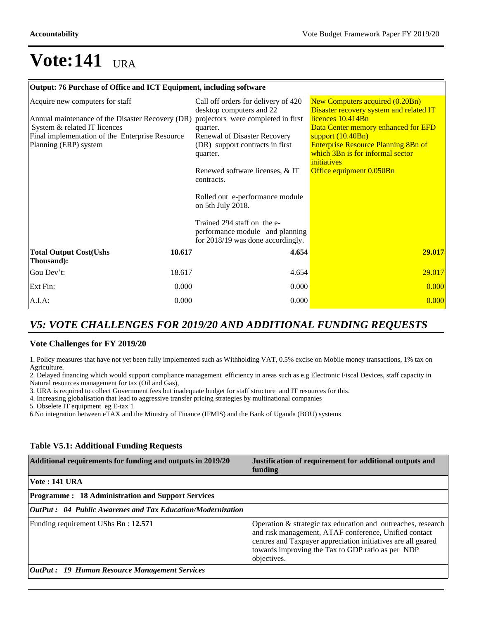#### **Output: 76 Purchase of Office and ICT Equipment, including software**

| Acquire new computers for staff<br>Annual maintenance of the Disaster Recovery (DR)<br>System & related IT licences<br>Final implementation of the Enterprise Resource<br>Planning (ERP) system |        | Call off orders for delivery of 420<br>desktop computers and 22<br>projectors were completed in first<br>quarter.<br>Renewal of Disaster Recovery<br>(DR) support contracts in first<br>quarter.<br>Renewed software licenses, & IT<br>contracts.<br>Rolled out e-performance module<br>on 5th July 2018.<br>Trained 294 staff on the e-<br>performance module and planning<br>for 2018/19 was done accordingly. | New Computers acquired (0.20Bn)<br>Disaster recovery system and related IT<br>licences 10.414Bn<br>Data Center memory enhanced for EFD<br>support $(10.40Bn)$<br><b>Enterprise Resource Planning 8Bn of</b><br>which 3Bn is for informal sector<br>initiatives<br>Office equipment 0.050Bn |
|-------------------------------------------------------------------------------------------------------------------------------------------------------------------------------------------------|--------|------------------------------------------------------------------------------------------------------------------------------------------------------------------------------------------------------------------------------------------------------------------------------------------------------------------------------------------------------------------------------------------------------------------|--------------------------------------------------------------------------------------------------------------------------------------------------------------------------------------------------------------------------------------------------------------------------------------------|
| <b>Total Output Cost(Ushs</b><br>Thousand):                                                                                                                                                     | 18.617 | 4.654                                                                                                                                                                                                                                                                                                                                                                                                            | 29.017                                                                                                                                                                                                                                                                                     |
| Gou Dev't:                                                                                                                                                                                      | 18.617 | 4.654                                                                                                                                                                                                                                                                                                                                                                                                            | 29.017                                                                                                                                                                                                                                                                                     |
| Ext Fin:                                                                                                                                                                                        | 0.000  | 0.000                                                                                                                                                                                                                                                                                                                                                                                                            | 0.000                                                                                                                                                                                                                                                                                      |
| A.I.A.                                                                                                                                                                                          | 0.000  | 0.000                                                                                                                                                                                                                                                                                                                                                                                                            | 0.000                                                                                                                                                                                                                                                                                      |

# *V5: VOTE CHALLENGES FOR 2019/20 AND ADDITIONAL FUNDING REQUESTS*

#### **Vote Challenges for FY 2019/20**

1. Policy measures that have not yet been fully implemented such as Withholding VAT, 0.5% excise on Mobile money transactions, 1% tax on Agriculture.

2. Delayed financing which would support compliance management efficiency in areas such as e.g Electronic Fiscal Devices, staff capacity in Natural resources management for tax (Oil and Gas),

3. URA is required to collect Government fees but inadequate budget for staff structure and IT resources for this.

4. Increasing globalisation that lead to aggressive transfer pricing strategies by multinational companies

5. Obselete IT equipment eg E-tax 1

6.No integration between eTAX and the Ministry of Finance (IFMIS) and the Bank of Uganda (BOU) systems

# **Table V5.1: Additional Funding Requests**

| Additional requirements for funding and outputs in 2019/20 | Justification of requirement for additional outputs and<br>funding                                                                                                                                                                                           |
|------------------------------------------------------------|--------------------------------------------------------------------------------------------------------------------------------------------------------------------------------------------------------------------------------------------------------------|
| <b>Vote: 141 URA</b>                                       |                                                                                                                                                                                                                                                              |
| <b>Programme: 18 Administration and Support Services</b>   |                                                                                                                                                                                                                                                              |
| OutPut: 04 Public Awarenes and Tax Education/Modernization |                                                                                                                                                                                                                                                              |
| Funding requirement UShs Bn: 12.571                        | Operation $\&$ strategic tax education and outreaches, research<br>and risk management, ATAF conference, Unified contact<br>centres and Taxpayer appreciation initiatives are all geared<br>towards improving the Tax to GDP ratio as per NDP<br>objectives. |
| <b>OutPut: 19 Human Resource Management Services</b>       |                                                                                                                                                                                                                                                              |